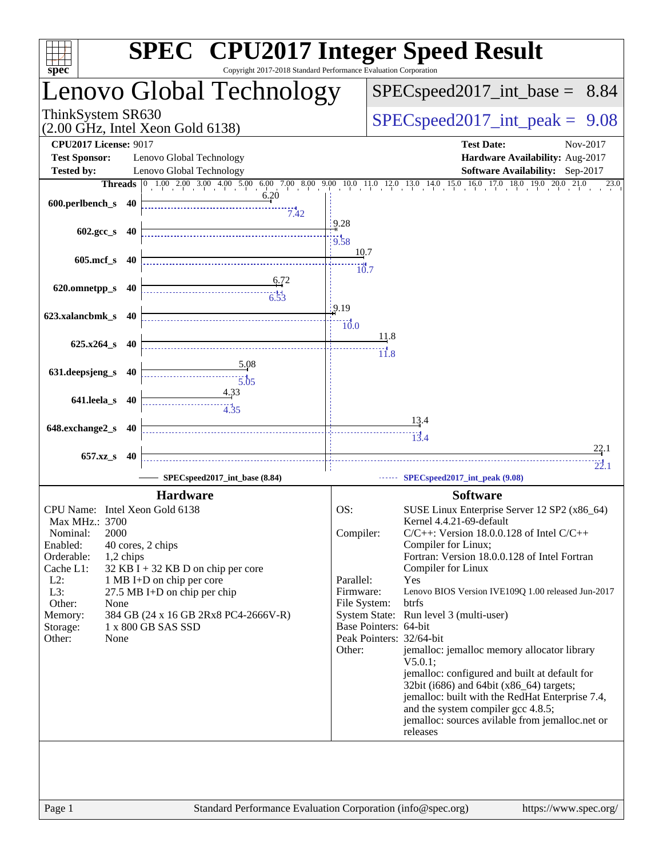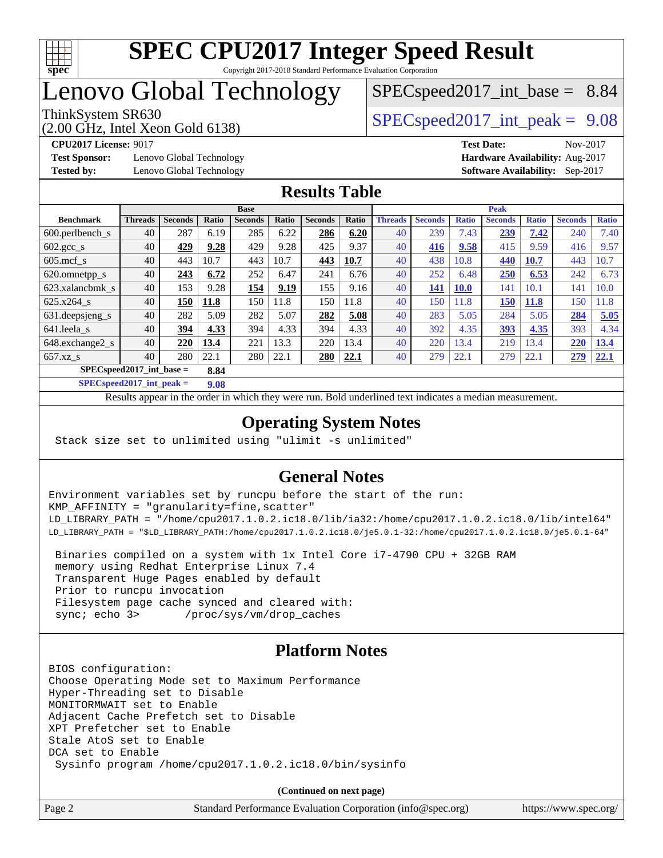

## Lenovo Global Technology

## $SPECspeed2017\_int\_base = 8.84$

(2.00 GHz, Intel Xeon Gold 6138)

ThinkSystem SR630  $SPEC speed2017$  int peak = 9.08

**[Test Sponsor:](http://www.spec.org/auto/cpu2017/Docs/result-fields.html#TestSponsor)** Lenovo Global Technology **[Hardware Availability:](http://www.spec.org/auto/cpu2017/Docs/result-fields.html#HardwareAvailability)** Aug-2017 **[Tested by:](http://www.spec.org/auto/cpu2017/Docs/result-fields.html#Testedby)** Lenovo Global Technology **[Software Availability:](http://www.spec.org/auto/cpu2017/Docs/result-fields.html#SoftwareAvailability)** Sep-2017

**[CPU2017 License:](http://www.spec.org/auto/cpu2017/Docs/result-fields.html#CPU2017License)** 9017 **[Test Date:](http://www.spec.org/auto/cpu2017/Docs/result-fields.html#TestDate)** Nov-2017

### **[Results Table](http://www.spec.org/auto/cpu2017/Docs/result-fields.html#ResultsTable)**

|                                     | <b>Base</b>    |                |       |                |       |                | <b>Peak</b> |                |                |              |                |              |                |              |
|-------------------------------------|----------------|----------------|-------|----------------|-------|----------------|-------------|----------------|----------------|--------------|----------------|--------------|----------------|--------------|
| <b>Benchmark</b>                    | <b>Threads</b> | <b>Seconds</b> | Ratio | <b>Seconds</b> | Ratio | <b>Seconds</b> | Ratio       | <b>Threads</b> | <b>Seconds</b> | <b>Ratio</b> | <b>Seconds</b> | <b>Ratio</b> | <b>Seconds</b> | <b>Ratio</b> |
| $600.$ perlbench $\mathsf{S}$       | 40             | 287            | 6.19  | 285            | 6.22  | 286            | 6.20        | 40             | 239            | 7.43         | 239            | 7.42         | 240            | 7.40         |
| $602.\text{gcc}\_\text{s}$          | 40             | 429            | 9.28  | 429            | 9.28  | 425            | 9.37        | 40             | 416            | 9.58         | 415            | 9.59         | 416            | 9.57         |
| $605$ .mcf s                        | 40             | 443            | 10.7  | 443            | 10.7  | 443            | 10.7        | 40             | 438            | 10.8         | 440            | 10.7         | 443            | 10.7         |
| 620.omnetpp_s                       | 40             | 243            | 6.72  | 252            | 6.47  | 241            | 6.76        | 40             | 252            | 6.48         | 250            | 6.53         | 242            | 6.73         |
| 623.xalancbmk s                     | 40             | 153            | 9.28  | 154            | 9.19  | 155            | 9.16        | 40             | 141            | <b>10.0</b>  | 141            | 10.1         | 141            | 10.0         |
| 625.x264 s                          | 40             | 150            | 11.8  | 150            | 11.8  | 150            | 11.8        | 40             | 150            | 11.8         | 150            | 11.8         | 150            | 11.8         |
| 631.deepsjeng_s                     | 40             | 282            | 5.09  | 282            | 5.07  | 282            | 5.08        | 40             | 283            | 5.05         | 284            | 5.05         | 284            | 5.05         |
| 641.leela_s                         | 40             | 394            | 4.33  | 394            | 4.33  | 394            | 4.33        | 40             | 392            | 4.35         | 393            | 4.35         | 393            | 4.34         |
| 648.exchange2_s                     | 40             | <u>220</u>     | 13.4  | 221            | 13.3  | 220            | 13.4        | 40             | 220            | 13.4         | 219            | 13.4         | 220            | 13.4         |
| $657.xz$ s                          | 40             | 280            | 22.1  | 280            | 22.1  | 280            | 22.1        | 40             | 279            | 22.1         | 279            | 22.1         | 279            | 22.1         |
| $SPEC speed2017$ int base =<br>8.84 |                |                |       |                |       |                |             |                |                |              |                |              |                |              |

**[SPECspeed2017\\_int\\_peak =](http://www.spec.org/auto/cpu2017/Docs/result-fields.html#SPECspeed2017intpeak) 9.08**

Results appear in the [order in which they were run.](http://www.spec.org/auto/cpu2017/Docs/result-fields.html#RunOrder) Bold underlined text [indicates a median measurement](http://www.spec.org/auto/cpu2017/Docs/result-fields.html#Median).

### **[Operating System Notes](http://www.spec.org/auto/cpu2017/Docs/result-fields.html#OperatingSystemNotes)**

Stack size set to unlimited using "ulimit -s unlimited"

### **[General Notes](http://www.spec.org/auto/cpu2017/Docs/result-fields.html#GeneralNotes)**

Environment variables set by runcpu before the start of the run: KMP\_AFFINITY = "granularity=fine,scatter" LD\_LIBRARY\_PATH = "/home/cpu2017.1.0.2.ic18.0/lib/ia32:/home/cpu2017.1.0.2.ic18.0/lib/intel64" LD\_LIBRARY\_PATH = "\$LD\_LIBRARY\_PATH:/home/cpu2017.1.0.2.ic18.0/je5.0.1-32:/home/cpu2017.1.0.2.ic18.0/je5.0.1-64"

 Binaries compiled on a system with 1x Intel Core i7-4790 CPU + 32GB RAM memory using Redhat Enterprise Linux 7.4 Transparent Huge Pages enabled by default Prior to runcpu invocation Filesystem page cache synced and cleared with: sync; echo 3> /proc/sys/vm/drop\_caches

### **[Platform Notes](http://www.spec.org/auto/cpu2017/Docs/result-fields.html#PlatformNotes)**

BIOS configuration: Choose Operating Mode set to Maximum Performance Hyper-Threading set to Disable MONITORMWAIT set to Enable Adjacent Cache Prefetch set to Disable XPT Prefetcher set to Enable Stale AtoS set to Enable DCA set to Enable Sysinfo program /home/cpu2017.1.0.2.ic18.0/bin/sysinfo

**(Continued on next page)**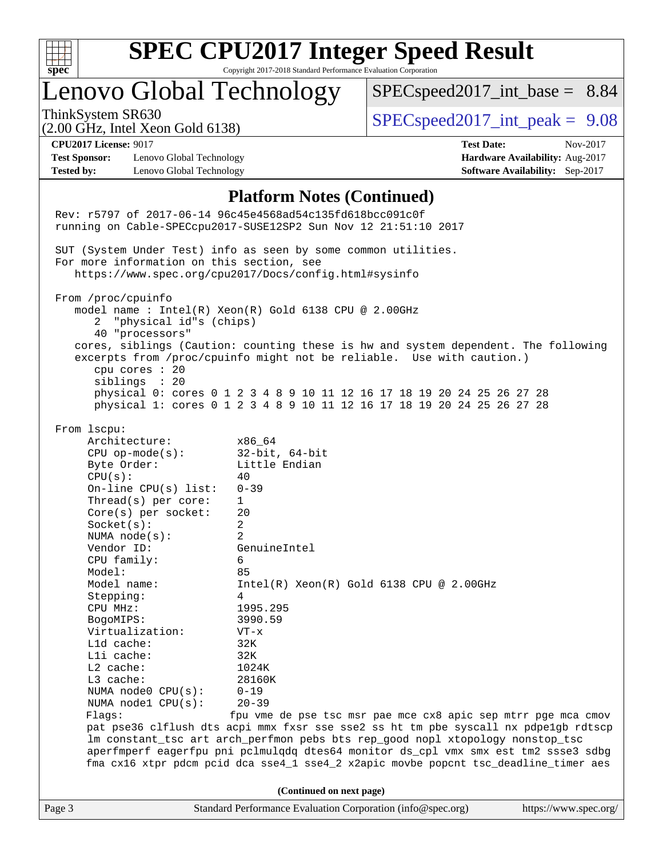

# **[SPEC CPU2017 Integer Speed Result](http://www.spec.org/auto/cpu2017/Docs/result-fields.html#SPECCPU2017IntegerSpeedResult)**

Copyright 2017-2018 Standard Performance Evaluation Corporation

## Lenovo Global Technology

 $SPECspeed2017\_int\_base = 8.84$ 

(2.00 GHz, Intel Xeon Gold 6138)

ThinkSystem SR630  $SPEC speed2017$  int peak = 9.08

**[Test Sponsor:](http://www.spec.org/auto/cpu2017/Docs/result-fields.html#TestSponsor)** Lenovo Global Technology **[Hardware Availability:](http://www.spec.org/auto/cpu2017/Docs/result-fields.html#HardwareAvailability)** Aug-2017 **[Tested by:](http://www.spec.org/auto/cpu2017/Docs/result-fields.html#Testedby)** Lenovo Global Technology **[Software Availability:](http://www.spec.org/auto/cpu2017/Docs/result-fields.html#SoftwareAvailability)** Sep-2017

**[CPU2017 License:](http://www.spec.org/auto/cpu2017/Docs/result-fields.html#CPU2017License)** 9017 **[Test Date:](http://www.spec.org/auto/cpu2017/Docs/result-fields.html#TestDate)** Nov-2017

#### **[Platform Notes \(Continued\)](http://www.spec.org/auto/cpu2017/Docs/result-fields.html#PlatformNotes)**

Page 3 Standard Performance Evaluation Corporation [\(info@spec.org\)](mailto:info@spec.org) <https://www.spec.org/> Rev: r5797 of 2017-06-14 96c45e4568ad54c135fd618bcc091c0f running on Cable-SPECcpu2017-SUSE12SP2 Sun Nov 12 21:51:10 2017 SUT (System Under Test) info as seen by some common utilities. For more information on this section, see <https://www.spec.org/cpu2017/Docs/config.html#sysinfo> From /proc/cpuinfo model name : Intel(R) Xeon(R) Gold 6138 CPU @ 2.00GHz 2 "physical id"s (chips) 40 "processors" cores, siblings (Caution: counting these is hw and system dependent. The following excerpts from /proc/cpuinfo might not be reliable. Use with caution.) cpu cores : 20 siblings : 20 physical 0: cores 0 1 2 3 4 8 9 10 11 12 16 17 18 19 20 24 25 26 27 28 physical 1: cores 0 1 2 3 4 8 9 10 11 12 16 17 18 19 20 24 25 26 27 28 From lscpu: Architecture: x86\_64 CPU op-mode(s): 32-bit, 64-bit Byte Order: Little Endian  $CPU(s):$  40 On-line CPU(s) list: 0-39 Thread(s) per core: 1 Core(s) per socket: 20 Socket(s): 2 NUMA node(s): 2 Vendor ID: GenuineIntel CPU family: 6 Model: 85<br>Model name: 1n  $Intel(R)$  Xeon(R) Gold 6138 CPU @ 2.00GHz Stepping: 4 CPU MHz: 1995.295 BogoMIPS: 3990.59 Virtualization: VT-x L1d cache: 32K L1i cache: 32K L2 cache: 1024K L3 cache: 28160K NUMA node0 CPU(s): 0-19 NUMA node1 CPU(s): 20-39 Flags: fpu vme de pse tsc msr pae mce cx8 apic sep mtrr pge mca cmov pat pse36 clflush dts acpi mmx fxsr sse sse2 ss ht tm pbe syscall nx pdpe1gb rdtscp lm constant\_tsc art arch\_perfmon pebs bts rep\_good nopl xtopology nonstop\_tsc aperfmperf eagerfpu pni pclmulqdq dtes64 monitor ds\_cpl vmx smx est tm2 ssse3 sdbg fma cx16 xtpr pdcm pcid dca sse4\_1 sse4\_2 x2apic movbe popcnt tsc\_deadline\_timer aes **(Continued on next page)**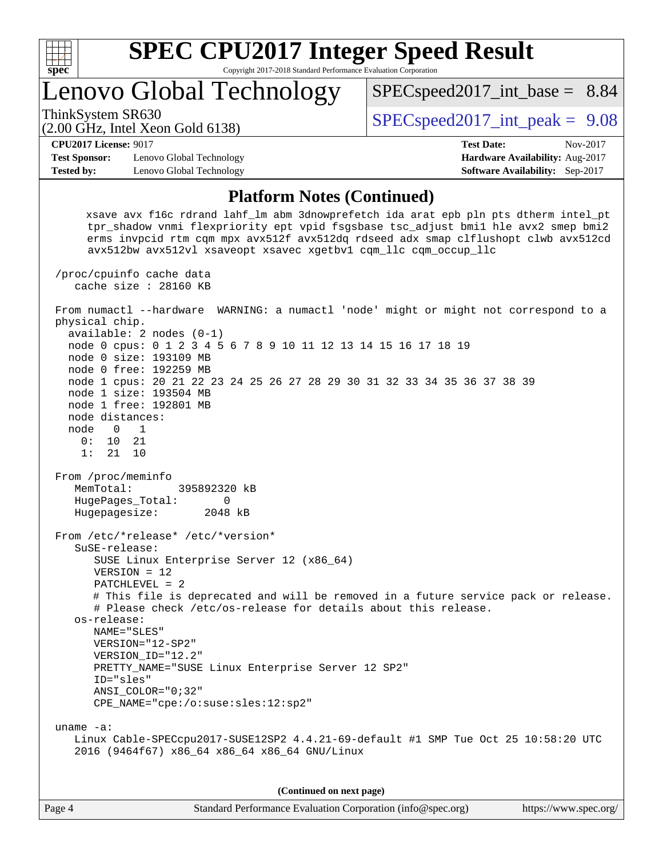

Lenovo Global Technology

ThinkSystem SR630  $SPEC speed2017$  int peak = 9.08

 $SPECspeed2017\_int\_base = 8.84$ 

(2.00 GHz, Intel Xeon Gold 6138)

**[Tested by:](http://www.spec.org/auto/cpu2017/Docs/result-fields.html#Testedby)** Lenovo Global Technology **[Software Availability:](http://www.spec.org/auto/cpu2017/Docs/result-fields.html#SoftwareAvailability)** Sep-2017

**[CPU2017 License:](http://www.spec.org/auto/cpu2017/Docs/result-fields.html#CPU2017License)** 9017 **[Test Date:](http://www.spec.org/auto/cpu2017/Docs/result-fields.html#TestDate)** Nov-2017 **[Test Sponsor:](http://www.spec.org/auto/cpu2017/Docs/result-fields.html#TestSponsor)** Lenovo Global Technology **[Hardware Availability:](http://www.spec.org/auto/cpu2017/Docs/result-fields.html#HardwareAvailability)** Aug-2017

#### **[Platform Notes \(Continued\)](http://www.spec.org/auto/cpu2017/Docs/result-fields.html#PlatformNotes)**

 xsave avx f16c rdrand lahf\_lm abm 3dnowprefetch ida arat epb pln pts dtherm intel\_pt tpr\_shadow vnmi flexpriority ept vpid fsgsbase tsc\_adjust bmi1 hle avx2 smep bmi2 erms invpcid rtm cqm mpx avx512f avx512dq rdseed adx smap clflushopt clwb avx512cd avx512bw avx512vl xsaveopt xsavec xgetbv1 cqm\_llc cqm\_occup\_llc

 /proc/cpuinfo cache data cache size : 28160 KB From numactl --hardware WARNING: a numactl 'node' might or might not correspond to a physical chip. available: 2 nodes (0-1) node 0 cpus: 0 1 2 3 4 5 6 7 8 9 10 11 12 13 14 15 16 17 18 19 node 0 size: 193109 MB node 0 free: 192259 MB node 1 cpus: 20 21 22 23 24 25 26 27 28 29 30 31 32 33 34 35 36 37 38 39 node 1 size: 193504 MB node 1 free: 192801 MB node distances: node 0 1 0: 10 21 1: 21 10 From /proc/meminfo MemTotal: 395892320 kB HugePages\_Total: 0 Hugepagesize: 2048 kB From /etc/\*release\* /etc/\*version\* SuSE-release: SUSE Linux Enterprise Server 12 (x86\_64) VERSION = 12 PATCHLEVEL = 2 # This file is deprecated and will be removed in a future service pack or release. # Please check /etc/os-release for details about this release. os-release: NAME="SLES" VERSION="12-SP2" VERSION\_ID="12.2" PRETTY\_NAME="SUSE Linux Enterprise Server 12 SP2" ID="sles" ANSI\_COLOR="0;32" CPE\_NAME="cpe:/o:suse:sles:12:sp2" uname -a: Linux Cable-SPECcpu2017-SUSE12SP2 4.4.21-69-default #1 SMP Tue Oct 25 10:58:20 UTC 2016 (9464f67) x86\_64 x86\_64 x86\_64 GNU/Linux **(Continued on next page)**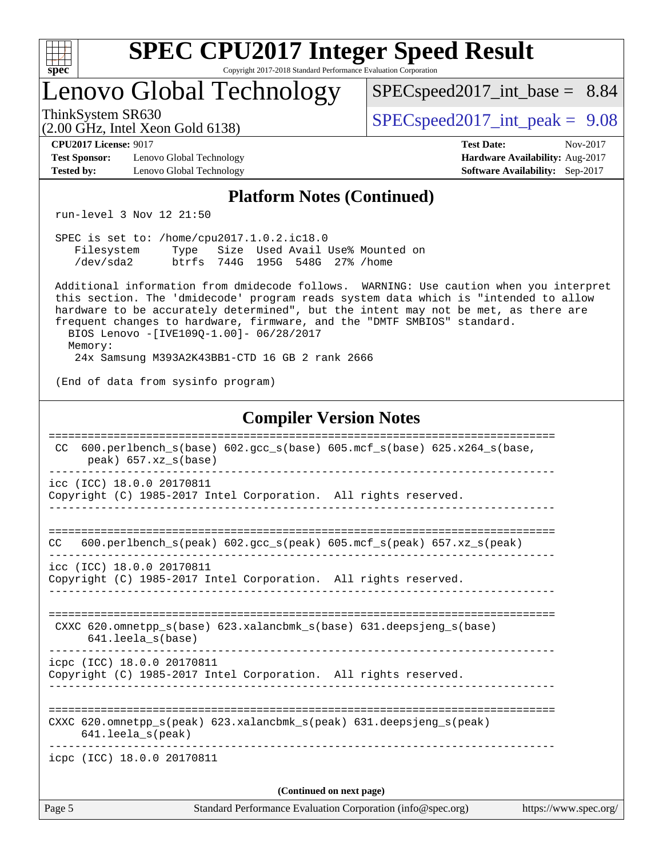

## Lenovo Global Technology

[SPECspeed2017\\_int\\_base =](http://www.spec.org/auto/cpu2017/Docs/result-fields.html#SPECspeed2017intbase) 8.84

(2.00 GHz, Intel Xeon Gold 6138)

ThinkSystem SR630<br>  $\binom{200}{4}$  [SPECspeed2017\\_int\\_peak =](http://www.spec.org/auto/cpu2017/Docs/result-fields.html#SPECspeed2017intpeak) 9.08

**[Test Sponsor:](http://www.spec.org/auto/cpu2017/Docs/result-fields.html#TestSponsor)** Lenovo Global Technology **[Hardware Availability:](http://www.spec.org/auto/cpu2017/Docs/result-fields.html#HardwareAvailability)** Aug-2017 **[Tested by:](http://www.spec.org/auto/cpu2017/Docs/result-fields.html#Testedby)** Lenovo Global Technology **[Software Availability:](http://www.spec.org/auto/cpu2017/Docs/result-fields.html#SoftwareAvailability)** Sep-2017

**[CPU2017 License:](http://www.spec.org/auto/cpu2017/Docs/result-fields.html#CPU2017License)** 9017 **[Test Date:](http://www.spec.org/auto/cpu2017/Docs/result-fields.html#TestDate)** Nov-2017

#### **[Platform Notes \(Continued\)](http://www.spec.org/auto/cpu2017/Docs/result-fields.html#PlatformNotes)**

run-level 3 Nov 12 21:50

| SPEC is set to: /home/cpu2017.1.0.2.ic18.0 |                                 |  |  |                                      |  |
|--------------------------------------------|---------------------------------|--|--|--------------------------------------|--|
| Filesystem                                 |                                 |  |  | Type Size Used Avail Use% Mounted on |  |
| /dev/sda2                                  | btrfs 744G 195G 548G 27% / home |  |  |                                      |  |

 Additional information from dmidecode follows. WARNING: Use caution when you interpret this section. The 'dmidecode' program reads system data which is "intended to allow hardware to be accurately determined", but the intent may not be met, as there are frequent changes to hardware, firmware, and the "DMTF SMBIOS" standard. BIOS Lenovo -[IVE109Q-1.00]- 06/28/2017

Memory:

24x Samsung M393A2K43BB1-CTD 16 GB 2 rank 2666

(End of data from sysinfo program)

#### **[Compiler Version Notes](http://www.spec.org/auto/cpu2017/Docs/result-fields.html#CompilerVersionNotes)**

| Page 5 | Standard Performance Evaluation Corporation (info@spec.org)<br>https://www.spec.org/                                    |
|--------|-------------------------------------------------------------------------------------------------------------------------|
|        | (Continued on next page)                                                                                                |
|        | icpc (ICC) 18.0.0 20170811                                                                                              |
|        | CXXC 620.omnetpp $s(\text{peak})$ 623.xalancbmk $s(\text{peak})$ 631.deepsjeng $s(\text{peak})$<br>$641.$ leela_s(peak) |
|        |                                                                                                                         |
|        | icpc (ICC) 18.0.0 20170811<br>Copyright (C) 1985-2017 Intel Corporation. All rights reserved.                           |
|        | CXXC $620$ .omnetpp $s(base)$ $623$ .xalancbmk $s(base)$ $631$ .deepsjeng $s(base)$<br>$641.$ leela_s(base)             |
|        | icc (ICC) 18.0.0 20170811<br>Copyright (C) 1985-2017 Intel Corporation. All rights reserved.                            |
| CC.    | $600. perlbench_s (peak) 602. gcc_s (peak) 605. mcf_s (peak) 657. xz_s (peak)$                                          |
|        | icc (ICC) 18.0.0 20170811<br>Copyright (C) 1985-2017 Intel Corporation. All rights reserved.                            |
| CC.    | 600.perlbench $s(base)$ 602.qcc $s(base)$ 605.mcf $s(base)$ 625.x264 $s(base)$<br>$peak)$ 657.xz $s(base)$              |
|        |                                                                                                                         |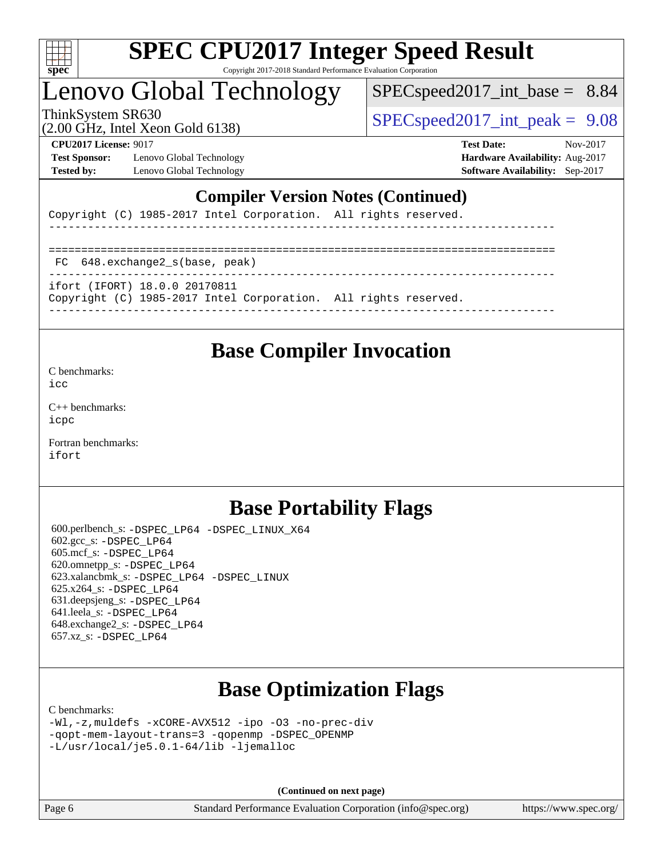

## Lenovo Global Technology

 $SPECspeed2017\_int\_base = 8.84$ 

ThinkSystem SR630  $SPEC speed2017$  int peak = 9.08

**[Test Sponsor:](http://www.spec.org/auto/cpu2017/Docs/result-fields.html#TestSponsor)** Lenovo Global Technology **[Hardware Availability:](http://www.spec.org/auto/cpu2017/Docs/result-fields.html#HardwareAvailability)** Aug-2017 **[Tested by:](http://www.spec.org/auto/cpu2017/Docs/result-fields.html#Testedby)** Lenovo Global Technology **[Software Availability:](http://www.spec.org/auto/cpu2017/Docs/result-fields.html#SoftwareAvailability)** Sep-2017

(2.00 GHz, Intel Xeon Gold 6138)

**[CPU2017 License:](http://www.spec.org/auto/cpu2017/Docs/result-fields.html#CPU2017License)** 9017 **[Test Date:](http://www.spec.org/auto/cpu2017/Docs/result-fields.html#TestDate)** Nov-2017

#### **[Compiler Version Notes \(Continued\)](http://www.spec.org/auto/cpu2017/Docs/result-fields.html#CompilerVersionNotes)**

Copyright (C) 1985-2017 Intel Corporation. All rights reserved.

------------------------------------------------------------------------------ ============================================================================== FC 648.exchange2\_s(base, peak) ----------------------------------------------------------------------------- ifort (IFORT) 18.0.0 20170811 Copyright (C) 1985-2017 Intel Corporation. All rights reserved. ------------------------------------------------------------------------------

## **[Base Compiler Invocation](http://www.spec.org/auto/cpu2017/Docs/result-fields.html#BaseCompilerInvocation)**

[C benchmarks](http://www.spec.org/auto/cpu2017/Docs/result-fields.html#Cbenchmarks):

[icc](http://www.spec.org/cpu2017/results/res2017q4/cpu2017-20171128-01191.flags.html#user_CCbase_intel_icc_18.0_66fc1ee009f7361af1fbd72ca7dcefbb700085f36577c54f309893dd4ec40d12360134090235512931783d35fd58c0460139e722d5067c5574d8eaf2b3e37e92)

[C++ benchmarks:](http://www.spec.org/auto/cpu2017/Docs/result-fields.html#CXXbenchmarks) [icpc](http://www.spec.org/cpu2017/results/res2017q4/cpu2017-20171128-01191.flags.html#user_CXXbase_intel_icpc_18.0_c510b6838c7f56d33e37e94d029a35b4a7bccf4766a728ee175e80a419847e808290a9b78be685c44ab727ea267ec2f070ec5dc83b407c0218cded6866a35d07)

[Fortran benchmarks](http://www.spec.org/auto/cpu2017/Docs/result-fields.html#Fortranbenchmarks): [ifort](http://www.spec.org/cpu2017/results/res2017q4/cpu2017-20171128-01191.flags.html#user_FCbase_intel_ifort_18.0_8111460550e3ca792625aed983ce982f94888b8b503583aa7ba2b8303487b4d8a21a13e7191a45c5fd58ff318f48f9492884d4413fa793fd88dd292cad7027ca)

## **[Base Portability Flags](http://www.spec.org/auto/cpu2017/Docs/result-fields.html#BasePortabilityFlags)**

 600.perlbench\_s: [-DSPEC\\_LP64](http://www.spec.org/cpu2017/results/res2017q4/cpu2017-20171128-01191.flags.html#b600.perlbench_s_basePORTABILITY_DSPEC_LP64) [-DSPEC\\_LINUX\\_X64](http://www.spec.org/cpu2017/results/res2017q4/cpu2017-20171128-01191.flags.html#b600.perlbench_s_baseCPORTABILITY_DSPEC_LINUX_X64) 602.gcc\_s: [-DSPEC\\_LP64](http://www.spec.org/cpu2017/results/res2017q4/cpu2017-20171128-01191.flags.html#suite_basePORTABILITY602_gcc_s_DSPEC_LP64) 605.mcf\_s: [-DSPEC\\_LP64](http://www.spec.org/cpu2017/results/res2017q4/cpu2017-20171128-01191.flags.html#suite_basePORTABILITY605_mcf_s_DSPEC_LP64) 620.omnetpp\_s: [-DSPEC\\_LP64](http://www.spec.org/cpu2017/results/res2017q4/cpu2017-20171128-01191.flags.html#suite_basePORTABILITY620_omnetpp_s_DSPEC_LP64) 623.xalancbmk\_s: [-DSPEC\\_LP64](http://www.spec.org/cpu2017/results/res2017q4/cpu2017-20171128-01191.flags.html#suite_basePORTABILITY623_xalancbmk_s_DSPEC_LP64) [-DSPEC\\_LINUX](http://www.spec.org/cpu2017/results/res2017q4/cpu2017-20171128-01191.flags.html#b623.xalancbmk_s_baseCXXPORTABILITY_DSPEC_LINUX) 625.x264\_s: [-DSPEC\\_LP64](http://www.spec.org/cpu2017/results/res2017q4/cpu2017-20171128-01191.flags.html#suite_basePORTABILITY625_x264_s_DSPEC_LP64) 631.deepsjeng\_s: [-DSPEC\\_LP64](http://www.spec.org/cpu2017/results/res2017q4/cpu2017-20171128-01191.flags.html#suite_basePORTABILITY631_deepsjeng_s_DSPEC_LP64) 641.leela\_s: [-DSPEC\\_LP64](http://www.spec.org/cpu2017/results/res2017q4/cpu2017-20171128-01191.flags.html#suite_basePORTABILITY641_leela_s_DSPEC_LP64) 648.exchange2\_s: [-DSPEC\\_LP64](http://www.spec.org/cpu2017/results/res2017q4/cpu2017-20171128-01191.flags.html#suite_basePORTABILITY648_exchange2_s_DSPEC_LP64) 657.xz\_s: [-DSPEC\\_LP64](http://www.spec.org/cpu2017/results/res2017q4/cpu2017-20171128-01191.flags.html#suite_basePORTABILITY657_xz_s_DSPEC_LP64)

## **[Base Optimization Flags](http://www.spec.org/auto/cpu2017/Docs/result-fields.html#BaseOptimizationFlags)**

[C benchmarks](http://www.spec.org/auto/cpu2017/Docs/result-fields.html#Cbenchmarks):

[-Wl,-z,muldefs](http://www.spec.org/cpu2017/results/res2017q4/cpu2017-20171128-01191.flags.html#user_CCbase_link_force_multiple1_b4cbdb97b34bdee9ceefcfe54f4c8ea74255f0b02a4b23e853cdb0e18eb4525ac79b5a88067c842dd0ee6996c24547a27a4b99331201badda8798ef8a743f577) [-xCORE-AVX512](http://www.spec.org/cpu2017/results/res2017q4/cpu2017-20171128-01191.flags.html#user_CCbase_f-xCORE-AVX512) [-ipo](http://www.spec.org/cpu2017/results/res2017q4/cpu2017-20171128-01191.flags.html#user_CCbase_f-ipo) [-O3](http://www.spec.org/cpu2017/results/res2017q4/cpu2017-20171128-01191.flags.html#user_CCbase_f-O3) [-no-prec-div](http://www.spec.org/cpu2017/results/res2017q4/cpu2017-20171128-01191.flags.html#user_CCbase_f-no-prec-div) [-qopt-mem-layout-trans=3](http://www.spec.org/cpu2017/results/res2017q4/cpu2017-20171128-01191.flags.html#user_CCbase_f-qopt-mem-layout-trans_de80db37974c74b1f0e20d883f0b675c88c3b01e9d123adea9b28688d64333345fb62bc4a798493513fdb68f60282f9a726aa07f478b2f7113531aecce732043) [-qopenmp](http://www.spec.org/cpu2017/results/res2017q4/cpu2017-20171128-01191.flags.html#user_CCbase_qopenmp_16be0c44f24f464004c6784a7acb94aca937f053568ce72f94b139a11c7c168634a55f6653758ddd83bcf7b8463e8028bb0b48b77bcddc6b78d5d95bb1df2967) [-DSPEC\\_OPENMP](http://www.spec.org/cpu2017/results/res2017q4/cpu2017-20171128-01191.flags.html#suite_CCbase_DSPEC_OPENMP) [-L/usr/local/je5.0.1-64/lib](http://www.spec.org/cpu2017/results/res2017q4/cpu2017-20171128-01191.flags.html#user_CCbase_jemalloc_link_path64_4b10a636b7bce113509b17f3bd0d6226c5fb2346b9178c2d0232c14f04ab830f976640479e5c33dc2bcbbdad86ecfb6634cbbd4418746f06f368b512fced5394) [-ljemalloc](http://www.spec.org/cpu2017/results/res2017q4/cpu2017-20171128-01191.flags.html#user_CCbase_jemalloc_link_lib_d1249b907c500fa1c0672f44f562e3d0f79738ae9e3c4a9c376d49f265a04b9c99b167ecedbf6711b3085be911c67ff61f150a17b3472be731631ba4d0471706)

**(Continued on next page)**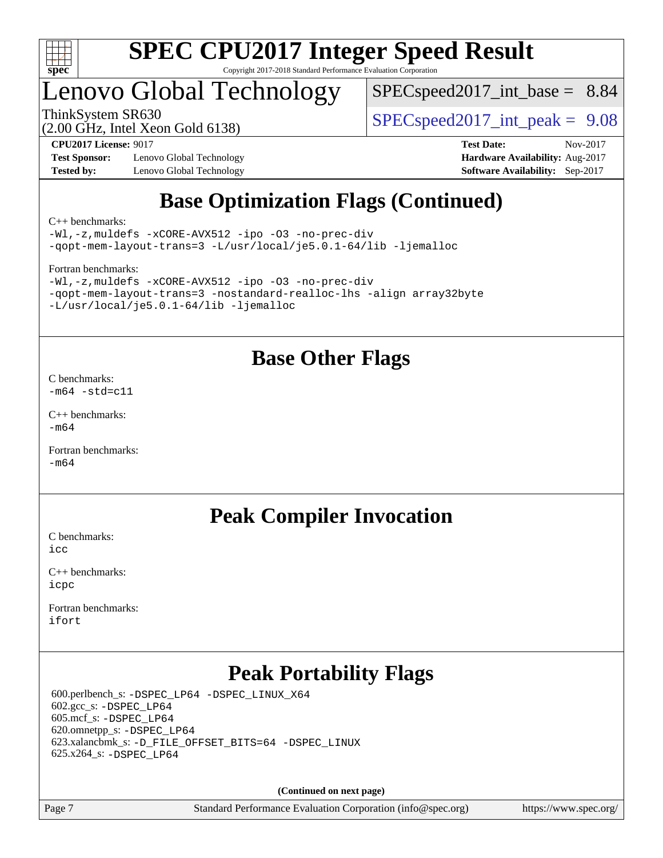

## Lenovo Global Technology

 $SPECspeed2017\_int\_base = 8.84$ 

(2.00 GHz, Intel Xeon Gold 6138)

ThinkSystem SR630  $SPEC speed2017$  int peak = 9.08

**[Test Sponsor:](http://www.spec.org/auto/cpu2017/Docs/result-fields.html#TestSponsor)** Lenovo Global Technology **[Hardware Availability:](http://www.spec.org/auto/cpu2017/Docs/result-fields.html#HardwareAvailability)** Aug-2017 **[Tested by:](http://www.spec.org/auto/cpu2017/Docs/result-fields.html#Testedby)** Lenovo Global Technology **[Software Availability:](http://www.spec.org/auto/cpu2017/Docs/result-fields.html#SoftwareAvailability)** Sep-2017

**[CPU2017 License:](http://www.spec.org/auto/cpu2017/Docs/result-fields.html#CPU2017License)** 9017 **[Test Date:](http://www.spec.org/auto/cpu2017/Docs/result-fields.html#TestDate)** Nov-2017

## **[Base Optimization Flags \(Continued\)](http://www.spec.org/auto/cpu2017/Docs/result-fields.html#BaseOptimizationFlags)**

[C++ benchmarks:](http://www.spec.org/auto/cpu2017/Docs/result-fields.html#CXXbenchmarks)

[-Wl,-z,muldefs](http://www.spec.org/cpu2017/results/res2017q4/cpu2017-20171128-01191.flags.html#user_CXXbase_link_force_multiple1_b4cbdb97b34bdee9ceefcfe54f4c8ea74255f0b02a4b23e853cdb0e18eb4525ac79b5a88067c842dd0ee6996c24547a27a4b99331201badda8798ef8a743f577) [-xCORE-AVX512](http://www.spec.org/cpu2017/results/res2017q4/cpu2017-20171128-01191.flags.html#user_CXXbase_f-xCORE-AVX512) [-ipo](http://www.spec.org/cpu2017/results/res2017q4/cpu2017-20171128-01191.flags.html#user_CXXbase_f-ipo) [-O3](http://www.spec.org/cpu2017/results/res2017q4/cpu2017-20171128-01191.flags.html#user_CXXbase_f-O3) [-no-prec-div](http://www.spec.org/cpu2017/results/res2017q4/cpu2017-20171128-01191.flags.html#user_CXXbase_f-no-prec-div) [-qopt-mem-layout-trans=3](http://www.spec.org/cpu2017/results/res2017q4/cpu2017-20171128-01191.flags.html#user_CXXbase_f-qopt-mem-layout-trans_de80db37974c74b1f0e20d883f0b675c88c3b01e9d123adea9b28688d64333345fb62bc4a798493513fdb68f60282f9a726aa07f478b2f7113531aecce732043) [-L/usr/local/je5.0.1-64/lib](http://www.spec.org/cpu2017/results/res2017q4/cpu2017-20171128-01191.flags.html#user_CXXbase_jemalloc_link_path64_4b10a636b7bce113509b17f3bd0d6226c5fb2346b9178c2d0232c14f04ab830f976640479e5c33dc2bcbbdad86ecfb6634cbbd4418746f06f368b512fced5394) [-ljemalloc](http://www.spec.org/cpu2017/results/res2017q4/cpu2017-20171128-01191.flags.html#user_CXXbase_jemalloc_link_lib_d1249b907c500fa1c0672f44f562e3d0f79738ae9e3c4a9c376d49f265a04b9c99b167ecedbf6711b3085be911c67ff61f150a17b3472be731631ba4d0471706)

[Fortran benchmarks](http://www.spec.org/auto/cpu2017/Docs/result-fields.html#Fortranbenchmarks):

```
-Wl,-z,muldefs -xCORE-AVX512 -ipo -O3 -no-prec-div
-qopt-mem-layout-trans=3 -nostandard-realloc-lhs -align array32byte
-L/usr/local/je5.0.1-64/lib -ljemalloc
```
## **[Base Other Flags](http://www.spec.org/auto/cpu2017/Docs/result-fields.html#BaseOtherFlags)**

[C benchmarks](http://www.spec.org/auto/cpu2017/Docs/result-fields.html#Cbenchmarks):  $-m64 - std= c11$  $-m64 - std= c11$ 

[C++ benchmarks:](http://www.spec.org/auto/cpu2017/Docs/result-fields.html#CXXbenchmarks)  $-m64$ 

[Fortran benchmarks](http://www.spec.org/auto/cpu2017/Docs/result-fields.html#Fortranbenchmarks): [-m64](http://www.spec.org/cpu2017/results/res2017q4/cpu2017-20171128-01191.flags.html#user_FCbase_intel_intel64_18.0_af43caccfc8ded86e7699f2159af6efc7655f51387b94da716254467f3c01020a5059329e2569e4053f409e7c9202a7efc638f7a6d1ffb3f52dea4a3e31d82ab)

## **[Peak Compiler Invocation](http://www.spec.org/auto/cpu2017/Docs/result-fields.html#PeakCompilerInvocation)**

[C benchmarks](http://www.spec.org/auto/cpu2017/Docs/result-fields.html#Cbenchmarks):  $i$ cc

[C++ benchmarks:](http://www.spec.org/auto/cpu2017/Docs/result-fields.html#CXXbenchmarks) [icpc](http://www.spec.org/cpu2017/results/res2017q4/cpu2017-20171128-01191.flags.html#user_CXXpeak_intel_icpc_18.0_c510b6838c7f56d33e37e94d029a35b4a7bccf4766a728ee175e80a419847e808290a9b78be685c44ab727ea267ec2f070ec5dc83b407c0218cded6866a35d07)

[Fortran benchmarks](http://www.spec.org/auto/cpu2017/Docs/result-fields.html#Fortranbenchmarks): [ifort](http://www.spec.org/cpu2017/results/res2017q4/cpu2017-20171128-01191.flags.html#user_FCpeak_intel_ifort_18.0_8111460550e3ca792625aed983ce982f94888b8b503583aa7ba2b8303487b4d8a21a13e7191a45c5fd58ff318f48f9492884d4413fa793fd88dd292cad7027ca)

## **[Peak Portability Flags](http://www.spec.org/auto/cpu2017/Docs/result-fields.html#PeakPortabilityFlags)**

 600.perlbench\_s: [-DSPEC\\_LP64](http://www.spec.org/cpu2017/results/res2017q4/cpu2017-20171128-01191.flags.html#b600.perlbench_s_peakPORTABILITY_DSPEC_LP64) [-DSPEC\\_LINUX\\_X64](http://www.spec.org/cpu2017/results/res2017q4/cpu2017-20171128-01191.flags.html#b600.perlbench_s_peakCPORTABILITY_DSPEC_LINUX_X64) 602.gcc\_s: [-DSPEC\\_LP64](http://www.spec.org/cpu2017/results/res2017q4/cpu2017-20171128-01191.flags.html#suite_peakPORTABILITY602_gcc_s_DSPEC_LP64) 605.mcf\_s: [-DSPEC\\_LP64](http://www.spec.org/cpu2017/results/res2017q4/cpu2017-20171128-01191.flags.html#suite_peakPORTABILITY605_mcf_s_DSPEC_LP64) 620.omnetpp\_s: [-DSPEC\\_LP64](http://www.spec.org/cpu2017/results/res2017q4/cpu2017-20171128-01191.flags.html#suite_peakPORTABILITY620_omnetpp_s_DSPEC_LP64) 623.xalancbmk\_s: [-D\\_FILE\\_OFFSET\\_BITS=64](http://www.spec.org/cpu2017/results/res2017q4/cpu2017-20171128-01191.flags.html#user_peakPORTABILITY623_xalancbmk_s_file_offset_bits_64_5ae949a99b284ddf4e95728d47cb0843d81b2eb0e18bdfe74bbf0f61d0b064f4bda2f10ea5eb90e1dcab0e84dbc592acfc5018bc955c18609f94ddb8d550002c) [-DSPEC\\_LINUX](http://www.spec.org/cpu2017/results/res2017q4/cpu2017-20171128-01191.flags.html#b623.xalancbmk_s_peakCXXPORTABILITY_DSPEC_LINUX) 625.x264\_s: [-DSPEC\\_LP64](http://www.spec.org/cpu2017/results/res2017q4/cpu2017-20171128-01191.flags.html#suite_peakPORTABILITY625_x264_s_DSPEC_LP64)

**(Continued on next page)**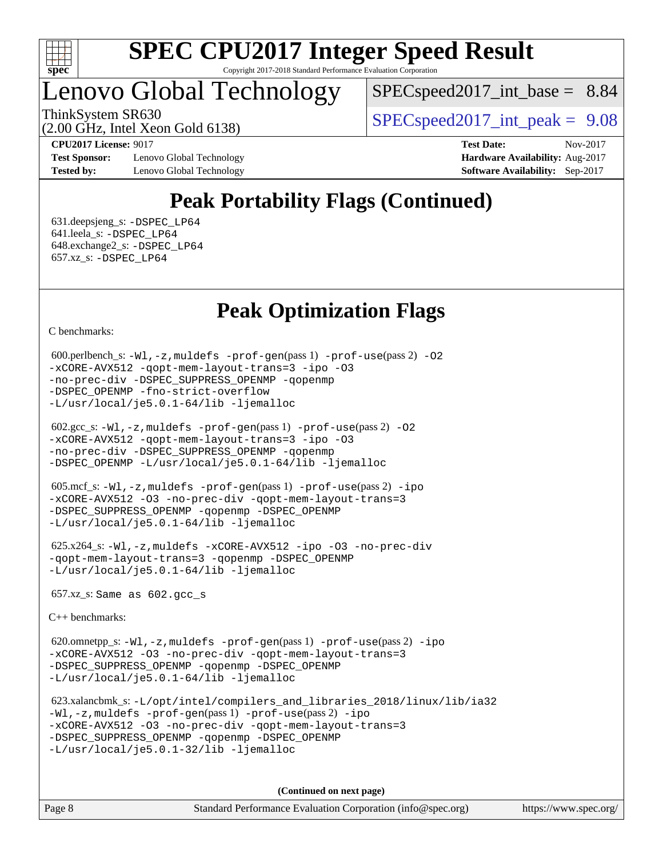

## Lenovo Global Technology

 $SPECspeed2017\_int\_base = 8.84$ 

ThinkSystem SR630  $SPEC speed2017$  int peak = 9.08

(2.00 GHz, Intel Xeon Gold 6138)

**[Test Sponsor:](http://www.spec.org/auto/cpu2017/Docs/result-fields.html#TestSponsor)** Lenovo Global Technology **[Hardware Availability:](http://www.spec.org/auto/cpu2017/Docs/result-fields.html#HardwareAvailability)** Aug-2017 **[Tested by:](http://www.spec.org/auto/cpu2017/Docs/result-fields.html#Testedby)** Lenovo Global Technology **[Software Availability:](http://www.spec.org/auto/cpu2017/Docs/result-fields.html#SoftwareAvailability)** Sep-2017

**[CPU2017 License:](http://www.spec.org/auto/cpu2017/Docs/result-fields.html#CPU2017License)** 9017 **[Test Date:](http://www.spec.org/auto/cpu2017/Docs/result-fields.html#TestDate)** Nov-2017

## **[Peak Portability Flags \(Continued\)](http://www.spec.org/auto/cpu2017/Docs/result-fields.html#PeakPortabilityFlags)**

 631.deepsjeng\_s: [-DSPEC\\_LP64](http://www.spec.org/cpu2017/results/res2017q4/cpu2017-20171128-01191.flags.html#suite_peakPORTABILITY631_deepsjeng_s_DSPEC_LP64) 641.leela\_s: [-DSPEC\\_LP64](http://www.spec.org/cpu2017/results/res2017q4/cpu2017-20171128-01191.flags.html#suite_peakPORTABILITY641_leela_s_DSPEC_LP64) 648.exchange2\_s: [-DSPEC\\_LP64](http://www.spec.org/cpu2017/results/res2017q4/cpu2017-20171128-01191.flags.html#suite_peakPORTABILITY648_exchange2_s_DSPEC_LP64) 657.xz\_s: [-DSPEC\\_LP64](http://www.spec.org/cpu2017/results/res2017q4/cpu2017-20171128-01191.flags.html#suite_peakPORTABILITY657_xz_s_DSPEC_LP64)

## **[Peak Optimization Flags](http://www.spec.org/auto/cpu2017/Docs/result-fields.html#PeakOptimizationFlags)**

[C benchmarks](http://www.spec.org/auto/cpu2017/Docs/result-fields.html#Cbenchmarks):

```
600.perlbench_s: -W1-prof-gen-prof-use(pass 2) -02
-xCORE-AVX512 -qopt-mem-layout-trans=3 -ipo -O3
-no-prec-div -DSPEC_SUPPRESS_OPENMP -qopenmp
-DSPEC_OPENMP -fno-strict-overflow
-L/usr/local/je5.0.1-64/lib -ljemalloc
```

```
 602.gcc_s: -Wl,-z,muldefs -prof-gen(pass 1) -prof-use(pass 2) -O2
-xCORE-AVX512 -qopt-mem-layout-trans=3 -ipo -O3
-no-prec-div -DSPEC_SUPPRESS_OPENMP -qopenmp
-DSPEC_OPENMP -L/usr/local/je5.0.1-64/lib -ljemalloc
```

```
 605.mcf_s: -Wl,-z,muldefs -prof-gen(pass 1) -prof-use(pass 2) -ipo
-xCORE-AVX512 -O3 -no-prec-div -qopt-mem-layout-trans=3
-DSPEC_SUPPRESS_OPENMP -qopenmp -DSPEC_OPENMP
-L/usr/local/je5.0.1-64/lib -ljemalloc
```

```
 625.x264_s: -Wl,-z,muldefs -xCORE-AVX512 -ipo -O3 -no-prec-div
-qopt-mem-layout-trans=3 -qopenmp -DSPEC_OPENMP
-L/usr/local/je5.0.1-64/lib -ljemalloc
```
657.xz\_s: Same as 602.gcc\_s

[C++ benchmarks:](http://www.spec.org/auto/cpu2017/Docs/result-fields.html#CXXbenchmarks)

 620.omnetpp\_s: [-Wl,-z,muldefs](http://www.spec.org/cpu2017/results/res2017q4/cpu2017-20171128-01191.flags.html#user_peakEXTRA_LDFLAGS620_omnetpp_s_link_force_multiple1_b4cbdb97b34bdee9ceefcfe54f4c8ea74255f0b02a4b23e853cdb0e18eb4525ac79b5a88067c842dd0ee6996c24547a27a4b99331201badda8798ef8a743f577) [-prof-gen](http://www.spec.org/cpu2017/results/res2017q4/cpu2017-20171128-01191.flags.html#user_peakPASS1_CXXFLAGSPASS1_LDFLAGS620_omnetpp_s_prof_gen_5aa4926d6013ddb2a31985c654b3eb18169fc0c6952a63635c234f711e6e63dd76e94ad52365559451ec499a2cdb89e4dc58ba4c67ef54ca681ffbe1461d6b36)(pass 1) [-prof-use](http://www.spec.org/cpu2017/results/res2017q4/cpu2017-20171128-01191.flags.html#user_peakPASS2_CXXFLAGSPASS2_LDFLAGS620_omnetpp_s_prof_use_1a21ceae95f36a2b53c25747139a6c16ca95bd9def2a207b4f0849963b97e94f5260e30a0c64f4bb623698870e679ca08317ef8150905d41bd88c6f78df73f19)(pass 2) [-ipo](http://www.spec.org/cpu2017/results/res2017q4/cpu2017-20171128-01191.flags.html#user_peakPASS1_CXXOPTIMIZEPASS2_CXXOPTIMIZE620_omnetpp_s_f-ipo) [-xCORE-AVX512](http://www.spec.org/cpu2017/results/res2017q4/cpu2017-20171128-01191.flags.html#user_peakPASS2_CXXOPTIMIZE620_omnetpp_s_f-xCORE-AVX512) [-O3](http://www.spec.org/cpu2017/results/res2017q4/cpu2017-20171128-01191.flags.html#user_peakPASS1_CXXOPTIMIZEPASS2_CXXOPTIMIZE620_omnetpp_s_f-O3) [-no-prec-div](http://www.spec.org/cpu2017/results/res2017q4/cpu2017-20171128-01191.flags.html#user_peakPASS1_CXXOPTIMIZEPASS2_CXXOPTIMIZE620_omnetpp_s_f-no-prec-div) [-qopt-mem-layout-trans=3](http://www.spec.org/cpu2017/results/res2017q4/cpu2017-20171128-01191.flags.html#user_peakPASS1_CXXOPTIMIZEPASS2_CXXOPTIMIZE620_omnetpp_s_f-qopt-mem-layout-trans_de80db37974c74b1f0e20d883f0b675c88c3b01e9d123adea9b28688d64333345fb62bc4a798493513fdb68f60282f9a726aa07f478b2f7113531aecce732043) [-DSPEC\\_SUPPRESS\\_OPENMP](http://www.spec.org/cpu2017/results/res2017q4/cpu2017-20171128-01191.flags.html#suite_peakPASS1_CXXOPTIMIZE620_omnetpp_s_DSPEC_SUPPRESS_OPENMP) [-qopenmp](http://www.spec.org/cpu2017/results/res2017q4/cpu2017-20171128-01191.flags.html#user_peakPASS2_CXXOPTIMIZE620_omnetpp_s_qopenmp_16be0c44f24f464004c6784a7acb94aca937f053568ce72f94b139a11c7c168634a55f6653758ddd83bcf7b8463e8028bb0b48b77bcddc6b78d5d95bb1df2967) [-DSPEC\\_OPENMP](http://www.spec.org/cpu2017/results/res2017q4/cpu2017-20171128-01191.flags.html#suite_peakPASS2_CXXOPTIMIZE620_omnetpp_s_DSPEC_OPENMP) [-L/usr/local/je5.0.1-64/lib](http://www.spec.org/cpu2017/results/res2017q4/cpu2017-20171128-01191.flags.html#user_peakEXTRA_LIBS620_omnetpp_s_jemalloc_link_path64_4b10a636b7bce113509b17f3bd0d6226c5fb2346b9178c2d0232c14f04ab830f976640479e5c33dc2bcbbdad86ecfb6634cbbd4418746f06f368b512fced5394) [-ljemalloc](http://www.spec.org/cpu2017/results/res2017q4/cpu2017-20171128-01191.flags.html#user_peakEXTRA_LIBS620_omnetpp_s_jemalloc_link_lib_d1249b907c500fa1c0672f44f562e3d0f79738ae9e3c4a9c376d49f265a04b9c99b167ecedbf6711b3085be911c67ff61f150a17b3472be731631ba4d0471706)

```
 623.xalancbmk_s: -L/opt/intel/compilers_and_libraries_2018/linux/lib/ia32
-Wl,-z,muldefs -prof-gen(pass 1) -prof-use(pass 2) -ipo
-xCORE-AVX512 -O3 -no-prec-div -qopt-mem-layout-trans=3
-DSPEC_SUPPRESS_OPENMP -qopenmp -DSPEC_OPENMP
-L/usr/local/je5.0.1-32/lib -ljemalloc
```
**(Continued on next page)**